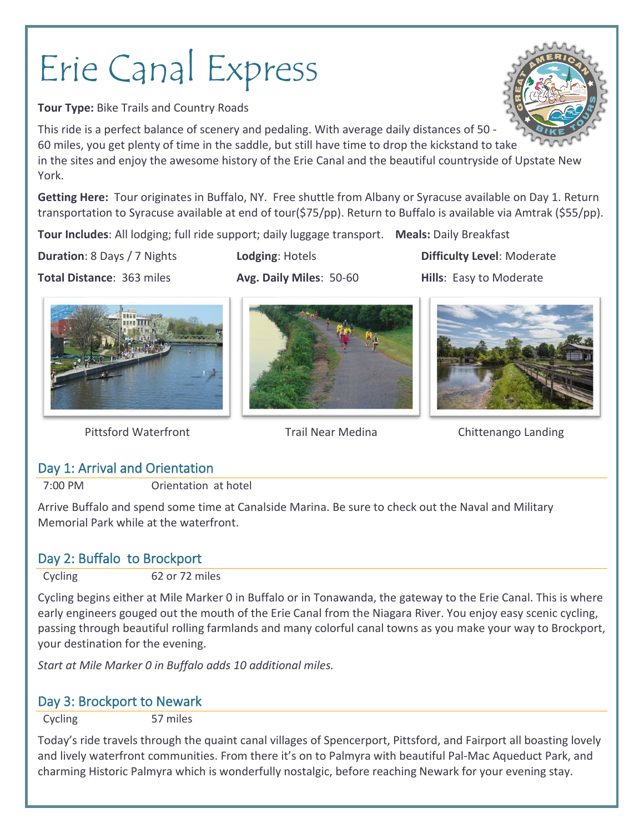# Erie Canal Express

**Tour Type:** Bike Trails and Country Roads

This ride is a perfect balance of scenery and pedaling. With average daily distances of 50 - 60 miles, you get plenty of time in the saddle, but still have time to drop the kickstand to take in the sites and enjoy the awesome history of the Erie Canal and the beautiful countryside of Upstate New York.

**Getting Here:** Tour originates in Buffalo, NY. Free shuttle from Albany or Syracuse available on Day 1. Return transportation to Syracuse available at end of tour(\$75/pp). Return to Buffalo is available via Amtrak (\$55/pp).

**Tour Includes**: All lodging; full ride support; daily luggage transport. **Meals:** Daily Breakfast

**Duration**: 8 Days / 7 Nights **Lodging**: Hotels **Difficulty Level**: Moderate

**Total Distance**: 363 miles **Avg. Daily Miles**: 50-60 **Hills**: Easy to Moderate







Pittsford Waterfront Trail Near Medina Chittenango Landing

# Day 1: Arrival and Orientation

7:00 PM Orientation at hotel

Arrive Buffalo and spend some time at Canalside Marina. Be sure to check out the Naval and Military Memorial Park while at the waterfront.

# Day 2: Buffalo to Brockport

Cycling 62 or 72 miles

Cycling begins either at Mile Marker 0 in Buffalo or in Tonawanda, the gateway to the Erie Canal. This is where early engineers gouged out the mouth of the Erie Canal from the Niagara River. You enjoy easy scenic cycling, passing through beautiful rolling farmlands and many colorful canal towns as you make your way to Brockport, your destination for the evening.

*Start at Mile Marker 0 in Buffalo adds 10 additional miles.*

## Day 3: Brockport to Newark

Cycling 57 miles

Today's ride travels through the quaint canal villages of Spencerport, Pittsford, and Fairport all boasting lovely and lively waterfront communities. From there it's on to Palmyra with beautiful Pal-Mac Aqueduct Park, and charming Historic Palmyra which is wonderfully nostalgic, before reaching Newark for your evening stay.